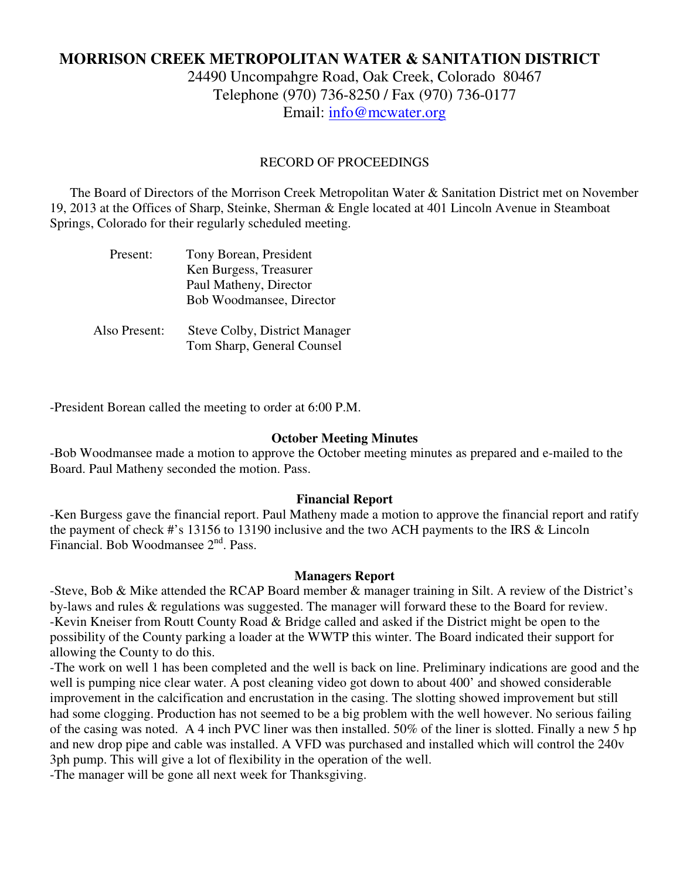# **MORRISON CREEK METROPOLITAN WATER & SANITATION DISTRICT**

24490 Uncompahgre Road, Oak Creek, Colorado 80467 Telephone (970) 736-8250 / Fax (970) 736-0177 Email: info@mcwater.org

## RECORD OF PROCEEDINGS

 The Board of Directors of the Morrison Creek Metropolitan Water & Sanitation District met on November 19, 2013 at the Offices of Sharp, Steinke, Sherman & Engle located at 401 Lincoln Avenue in Steamboat Springs, Colorado for their regularly scheduled meeting.

| Present:      | Tony Borean, President<br>Ken Burgess, Treasurer<br>Paul Matheny, Director                     |
|---------------|------------------------------------------------------------------------------------------------|
| Also Present: | Bob Woodmansee, Director<br><b>Steve Colby, District Manager</b><br>Tom Sharp, General Counsel |

-President Borean called the meeting to order at 6:00 P.M.

### **October Meeting Minutes**

-Bob Woodmansee made a motion to approve the October meeting minutes as prepared and e-mailed to the Board. Paul Matheny seconded the motion. Pass.

#### **Financial Report**

-Ken Burgess gave the financial report. Paul Matheny made a motion to approve the financial report and ratify the payment of check #'s 13156 to 13190 inclusive and the two ACH payments to the IRS & Lincoln Financial. Bob Woodmansee 2<sup>nd</sup>. Pass.

#### **Managers Report**

-Steve, Bob & Mike attended the RCAP Board member & manager training in Silt. A review of the District's by-laws and rules & regulations was suggested. The manager will forward these to the Board for review. -Kevin Kneiser from Routt County Road & Bridge called and asked if the District might be open to the possibility of the County parking a loader at the WWTP this winter. The Board indicated their support for allowing the County to do this.

-The work on well 1 has been completed and the well is back on line. Preliminary indications are good and the well is pumping nice clear water. A post cleaning video got down to about 400' and showed considerable improvement in the calcification and encrustation in the casing. The slotting showed improvement but still had some clogging. Production has not seemed to be a big problem with the well however. No serious failing of the casing was noted. A 4 inch PVC liner was then installed. 50% of the liner is slotted. Finally a new 5 hp and new drop pipe and cable was installed. A VFD was purchased and installed which will control the 240v 3ph pump. This will give a lot of flexibility in the operation of the well.

-The manager will be gone all next week for Thanksgiving.